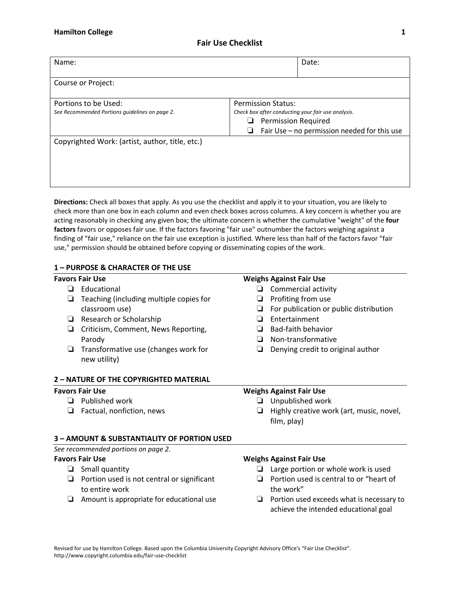# **Fair Use Checklist**

| Name:                                                                  |                                                                                                                                                                         | Date: |
|------------------------------------------------------------------------|-------------------------------------------------------------------------------------------------------------------------------------------------------------------------|-------|
| Course or Project:                                                     |                                                                                                                                                                         |       |
| Portions to be Used:<br>See Recommended Portions quidelines on page 2. | <b>Permission Status:</b><br>Check box after conducting your fair use analysis.<br><b>Permission Required</b><br>⊔<br>Fair Use - no permission needed for this use<br>⊔ |       |
| Copyrighted Work: (artist, author, title, etc.)                        |                                                                                                                                                                         |       |

**Directions:** Check all boxes that apply. As you use the checklist and apply it to your situation, you are likely to check more than one box in each column and even check boxes across columns. A key concern is whether you are acting reasonably in checking any given box; the ultimate concern is whether the cumulative "weight" of the **four** factors favors or opposes fair use. If the factors favoring "fair use" outnumber the factors weighing against a finding of "fair use," reliance on the fair use exception is justified. Where less than half of the factors favor "fair use," permission should be obtained before copying or disseminating copies of the work.

# **1 – PURPOSE)&)CHARACTER)OF)THE)USE**

- ❏ Educational
- $\Box$  Teaching (including multiple copies for classroom use)
- ❏ Research'or'Scholarship
- **□** Criticism, Comment, News Reporting, Parody
- $\Box$  Transformative use (changes work for new utility)

## **Favors Fair Use Weighs Against Fair Use**

- ❏ Commercial'activity
- ❏ Profiting'from'use
- $\Box$  For publication or public distribution
- ❏ Entertainment
- ❏ BadFfaith'behavior
- □ Non-transformative
- □ Denying credit to original author

## **2 – NATURE)OF)THE)COPYRIGHTED)MATERIAL**

- ❏ Published'work
- $\Box$  Factual, nonfiction, news

# **Favors Fair Use Conserversion Weighs Against Fair Use**

- ❏ Unpublished'work
- □ Highly creative work (art, music, novel, film, play)

### **3 – AMOUNT)&)SUBSTANTIALITY)OF)PORTION)USED**

See recommended portions on page 2.

- ❏ Small'quantity
- □ Portion used is not central or significant to entire work
- ❏ Amount'is'appropriate'for'educational'use

### **Favors Fair Use Weighs Against Fair Use**

- ❏ Large'portion'or'whole'work'is'used
- □ Portion used is central to or "heart of the work"
- ❏ Portion'used'exceeds'what'is'necessary'to' achieve the intended educational goal

Revised for use by Hamilton College. Based upon the Columbia University Copyright Advisory Office's "Fair Use Checklist". http://www.copyright.columbia.edu/fair-use-checklist